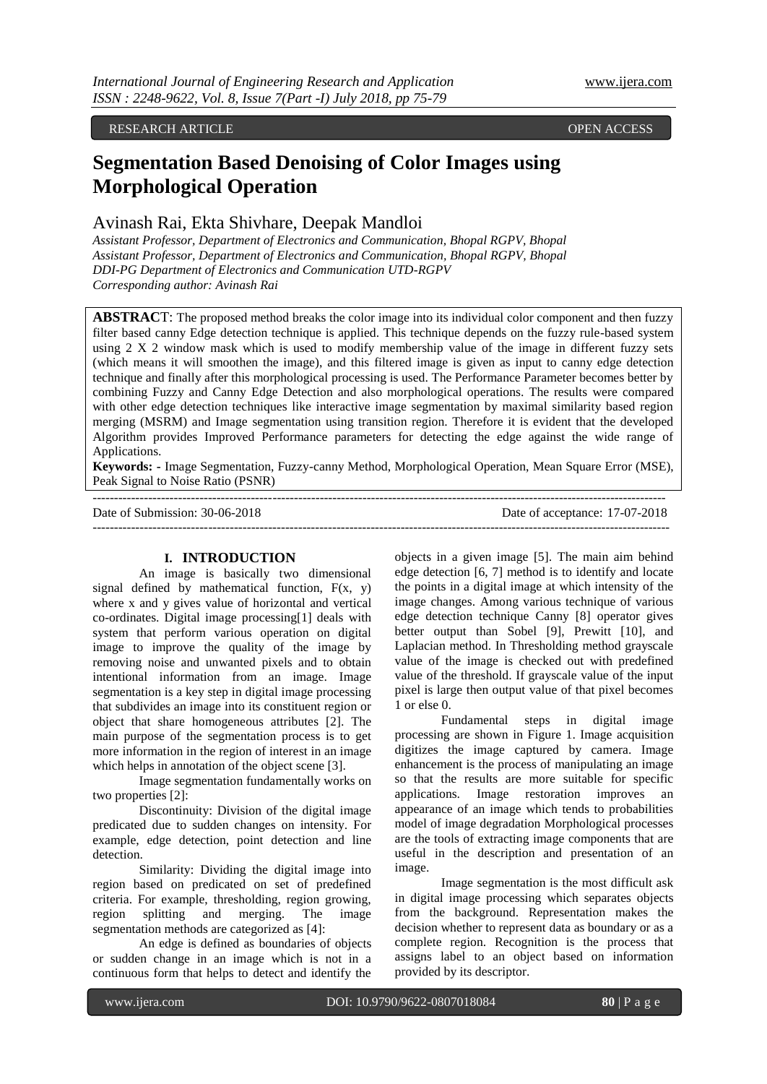RESEARCH ARTICLE OPEN ACCESS

# **Segmentation Based Denoising of Color Images using Morphological Operation**

## Avinash Rai, Ekta Shivhare, Deepak Mandloi

*Assistant Professor, Department of Electronics and Communication, Bhopal RGPV, Bhopal Assistant Professor, Department of Electronics and Communication, Bhopal RGPV, Bhopal DDI-PG Department of Electronics and Communication UTD-RGPV Corresponding author: Avinash Rai* 

**ABSTRAC**T: The proposed method breaks the color image into its individual color component and then fuzzy filter based canny Edge detection technique is applied. This technique depends on the fuzzy rule-based system using 2 X 2 window mask which is used to modify membership value of the image in different fuzzy sets (which means it will smoothen the image), and this filtered image is given as input to canny edge detection technique and finally after this morphological processing is used. The Performance Parameter becomes better by combining Fuzzy and Canny Edge Detection and also morphological operations. The results were compared with other edge detection techniques like interactive image segmentation by maximal similarity based region merging (MSRM) and Image segmentation using transition region. Therefore it is evident that the developed Algorithm provides Improved Performance parameters for detecting the edge against the wide range of Applications.

**Keywords: -** Image Segmentation, Fuzzy-canny Method, Morphological Operation, Mean Square Error (MSE), Peak Signal to Noise Ratio (PSNR)

-------------------------------------------------------------------------------------------------------------------------------------- Date of Submission: 30-06-2018 Date of acceptance: 17-07-2018 ---------------------------------------------------------------------------------------------------------------------------------------

## **I. INTRODUCTION**

An image is basically two dimensional signal defined by mathematical function,  $F(x, y)$ where x and y gives value of horizontal and vertical co-ordinates. Digital image processing[1] deals with system that perform various operation on digital image to improve the quality of the image by removing noise and unwanted pixels and to obtain intentional information from an image. Image segmentation is a key step in digital image processing that subdivides an image into its constituent region or object that share homogeneous attributes [2]. The main purpose of the segmentation process is to get more information in the region of interest in an image which helps in annotation of the object scene [3].

Image segmentation fundamentally works on two properties [2]:

Discontinuity: Division of the digital image predicated due to sudden changes on intensity. For example, edge detection, point detection and line detection.

Similarity: Dividing the digital image into region based on predicated on set of predefined criteria. For example, thresholding, region growing, region splitting and merging. The image segmentation methods are categorized as [4]:

An edge is defined as boundaries of objects or sudden change in an image which is not in a continuous form that helps to detect and identify the

objects in a given image [5]. The main aim behind edge detection [6, 7] method is to identify and locate the points in a digital image at which intensity of the image changes. Among various technique of various edge detection technique Canny [8] operator gives better output than Sobel [9], Prewitt [10], and Laplacian method. In Thresholding method grayscale value of the image is checked out with predefined value of the threshold. If grayscale value of the input pixel is large then output value of that pixel becomes 1 or else 0.

Fundamental steps in digital image processing are shown in Figure 1. Image acquisition digitizes the image captured by camera. Image enhancement is the process of manipulating an image so that the results are more suitable for specific applications. Image restoration improves an appearance of an image which tends to probabilities model of image degradation Morphological processes are the tools of extracting image components that are useful in the description and presentation of an image.

Image segmentation is the most difficult ask in digital image processing which separates objects from the background. Representation makes the decision whether to represent data as boundary or as a complete region. Recognition is the process that assigns label to an object based on information provided by its descriptor.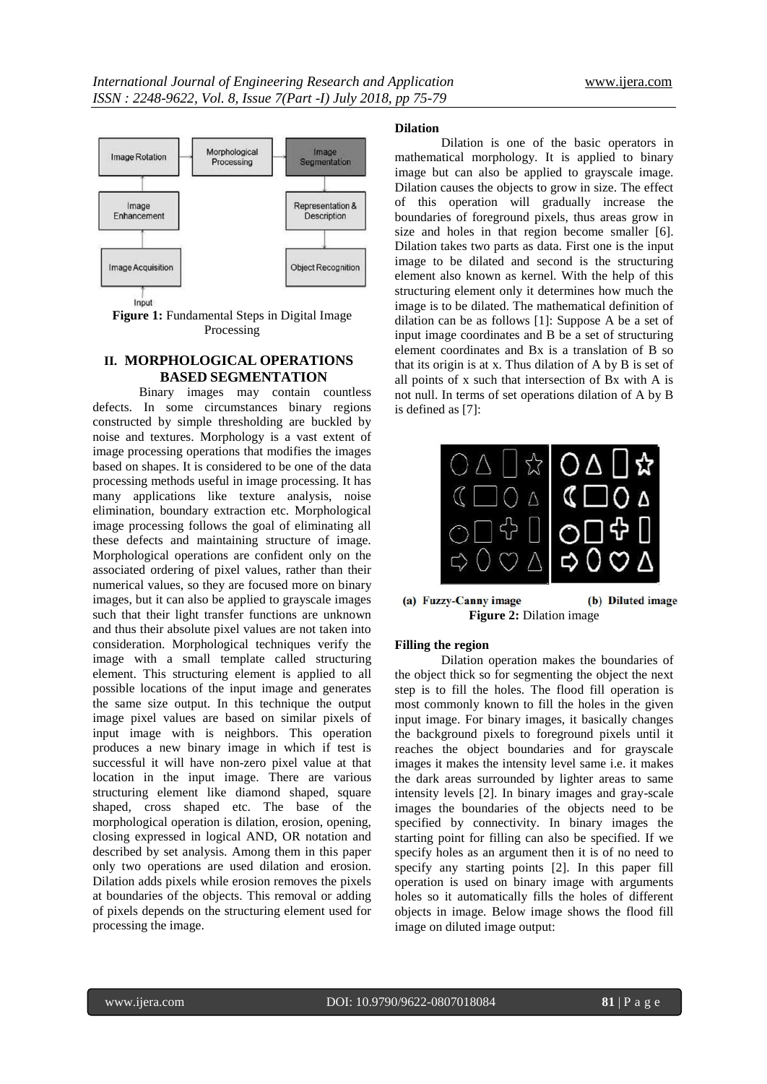

**Figure 1:** Fundamental Steps in Digital Image Processing

### **II. MORPHOLOGICAL OPERATIONS BASED SEGMENTATION**

Binary images may contain countless defects. In some circumstances binary regions constructed by simple thresholding are buckled by noise and textures. Morphology is a vast extent of image processing operations that modifies the images based on shapes. It is considered to be one of the data processing methods useful in image processing. It has many applications like texture analysis, noise elimination, boundary extraction etc. Morphological image processing follows the goal of eliminating all these defects and maintaining structure of image. Morphological operations are confident only on the associated ordering of pixel values, rather than their numerical values, so they are focused more on binary images, but it can also be applied to grayscale images such that their light transfer functions are unknown and thus their absolute pixel values are not taken into consideration. Morphological techniques verify the image with a small template called structuring element. This structuring element is applied to all possible locations of the input image and generates the same size output. In this technique the output image pixel values are based on similar pixels of input image with is neighbors. This operation produces a new binary image in which if test is successful it will have non-zero pixel value at that location in the input image. There are various structuring element like diamond shaped, square shaped, cross shaped etc. The base of the morphological operation is dilation, erosion, opening, closing expressed in logical AND, OR notation and described by set analysis. Among them in this paper only two operations are used dilation and erosion. Dilation adds pixels while erosion removes the pixels at boundaries of the objects. This removal or adding of pixels depends on the structuring element used for processing the image.

## **Dilation**

Dilation is one of the basic operators in mathematical morphology. It is applied to binary image but can also be applied to grayscale image. Dilation causes the objects to grow in size. The effect of this operation will gradually increase the boundaries of foreground pixels, thus areas grow in size and holes in that region become smaller [6]. Dilation takes two parts as data. First one is the input image to be dilated and second is the structuring element also known as kernel. With the help of this structuring element only it determines how much the image is to be dilated. The mathematical definition of dilation can be as follows [1]: Suppose A be a set of input image coordinates and B be a set of structuring element coordinates and Bx is a translation of B so that its origin is at x. Thus dilation of A by B is set of all points of x such that intersection of Bx with A is not null. In terms of set operations dilation of A by B is defined as [7]:



(a) Fuzzy-Canny image (b) Diluted image **Figure 2:** Dilation image

#### **Filling the region**

Dilation operation makes the boundaries of the object thick so for segmenting the object the next step is to fill the holes. The flood fill operation is most commonly known to fill the holes in the given input image. For binary images, it basically changes the background pixels to foreground pixels until it reaches the object boundaries and for grayscale images it makes the intensity level same i.e. it makes the dark areas surrounded by lighter areas to same intensity levels [2]. In binary images and gray-scale images the boundaries of the objects need to be specified by connectivity. In binary images the starting point for filling can also be specified. If we specify holes as an argument then it is of no need to specify any starting points [2]. In this paper fill operation is used on binary image with arguments holes so it automatically fills the holes of different objects in image. Below image shows the flood fill image on diluted image output: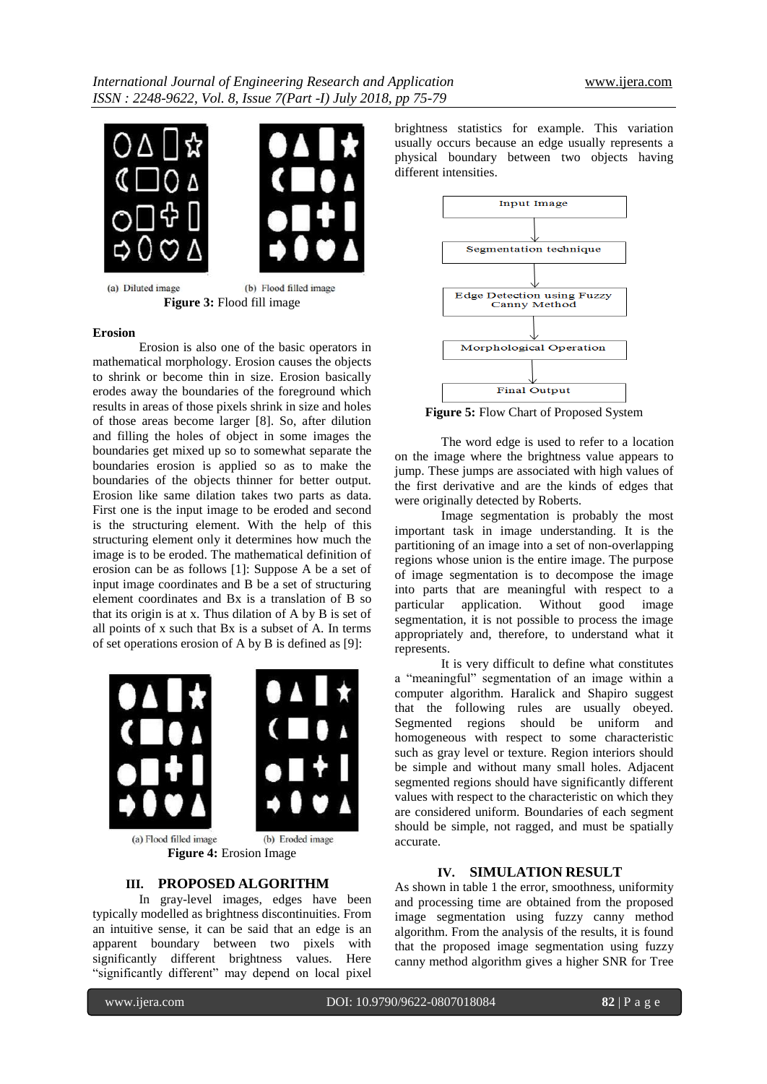



(a) Diluted image (b) Flood filled image **Figure 3:** Flood fill image

#### **Erosion**

Erosion is also one of the basic operators in mathematical morphology. Erosion causes the objects to shrink or become thin in size. Erosion basically erodes away the boundaries of the foreground which results in areas of those pixels shrink in size and holes of those areas become larger [8]. So, after dilution and filling the holes of object in some images the boundaries get mixed up so to somewhat separate the boundaries erosion is applied so as to make the boundaries of the objects thinner for better output. Erosion like same dilation takes two parts as data. First one is the input image to be eroded and second is the structuring element. With the help of this structuring element only it determines how much the image is to be eroded. The mathematical definition of erosion can be as follows [1]: Suppose A be a set of input image coordinates and B be a set of structuring element coordinates and Bx is a translation of B so that its origin is at x. Thus dilation of A by B is set of all points of x such that Bx is a subset of A. In terms of set operations erosion of A by B is defined as [9]:



**Figure 4:** Erosion Image

## **III. PROPOSED ALGORITHM**

In gray-level images, edges have been typically modelled as brightness discontinuities. From an intuitive sense, it can be said that an edge is an apparent boundary between two pixels with significantly different brightness values. Here "significantly different" may depend on local pixel

brightness statistics for example. This variation usually occurs because an edge usually represents a physical boundary between two objects having different intensities.



**Figure 5:** Flow Chart of Proposed System

The word edge is used to refer to a location on the image where the brightness value appears to jump. These jumps are associated with high values of the first derivative and are the kinds of edges that were originally detected by Roberts.

Image segmentation is probably the most important task in image understanding. It is the partitioning of an image into a set of non-overlapping regions whose union is the entire image. The purpose of image segmentation is to decompose the image into parts that are meaningful with respect to a particular application. Without good image segmentation, it is not possible to process the image appropriately and, therefore, to understand what it represents.

It is very difficult to define what constitutes a "meaningful" segmentation of an image within a computer algorithm. Haralick and Shapiro suggest that the following rules are usually obeyed. Segmented regions should be uniform and homogeneous with respect to some characteristic such as gray level or texture. Region interiors should be simple and without many small holes. Adjacent segmented regions should have significantly different values with respect to the characteristic on which they are considered uniform. Boundaries of each segment should be simple, not ragged, and must be spatially accurate.

## **IV. SIMULATION RESULT**

As shown in table 1 the error, smoothness, uniformity and processing time are obtained from the proposed image segmentation using fuzzy canny method algorithm. From the analysis of the results, it is found that the proposed image segmentation using fuzzy canny method algorithm gives a higher SNR for Tree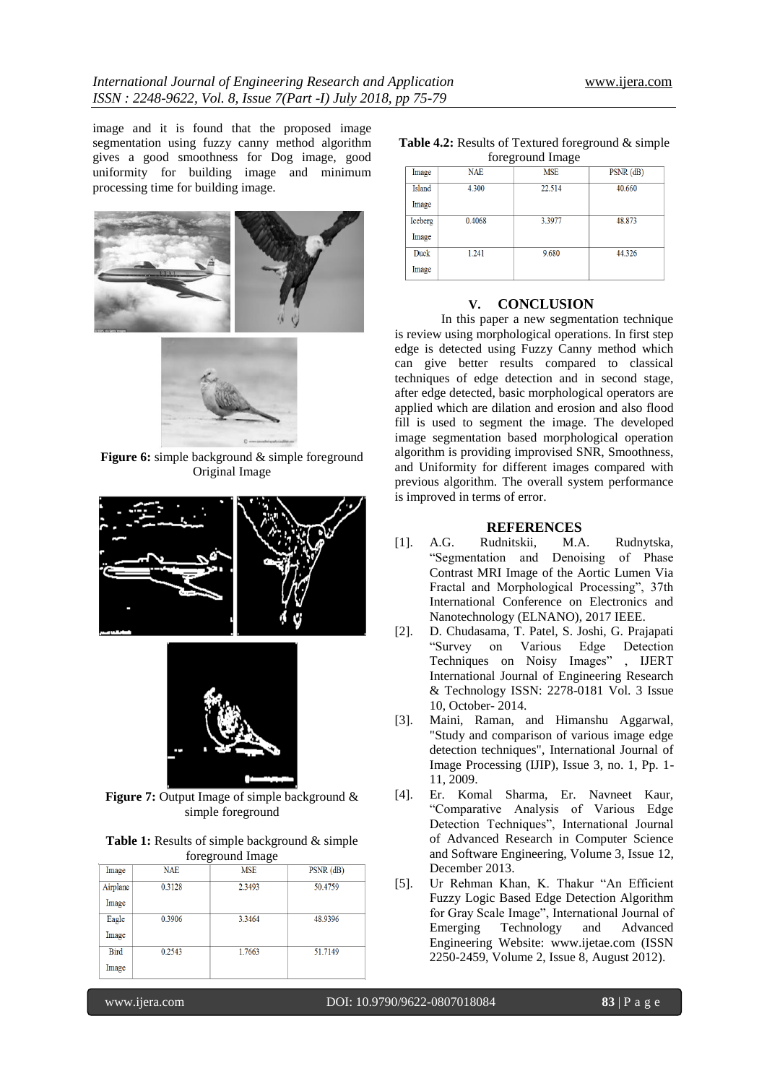image and it is found that the proposed image segmentation using fuzzy canny method algorithm gives a good smoothness for Dog image, good uniformity for building image and minimum processing time for building image.



Figure 6: simple background & simple foreground Original Image





**Figure 7:** Output Image of simple background  $\&$ simple foreground

| <b>Table 1:</b> Results of simple background & simple |
|-------------------------------------------------------|
| foreground Image                                      |

| Image    | <b>NAE</b> | <b>MSE</b> | $PSNR$ ( $dB$ ) |
|----------|------------|------------|-----------------|
| Airplane | 0.3128     | 2.3493     | 50.4759         |
| Image    |            |            |                 |
| Eagle    | 0.3906     | 3.3464     | 48.9396         |
| Image    |            |            |                 |
| Bird     | 0.2543     | 1.7663     | 51.7149         |
| Image    |            |            |                 |

| <b>Table 4.2:</b> Results of Textured foreground $\&$ simple |
|--------------------------------------------------------------|
| foreground Image                                             |

| $1010 \text{m}$ |            |            |                 |  |  |
|-----------------|------------|------------|-----------------|--|--|
| Image           | <b>NAE</b> | <b>MSE</b> | $PSNR$ ( $dB$ ) |  |  |
| Island          | 4.300      | 22.514     | 40.660          |  |  |
| Image           |            |            |                 |  |  |
| Iceberg         | 0.4068     | 3.3977     | 48.873          |  |  |
| Image           |            |            |                 |  |  |
| Duck            | 1.241      | 9.680      | 44.326          |  |  |
| Image           |            |            |                 |  |  |

## **V. CONCLUSION**

In this paper a new segmentation technique is review using morphological operations. In first step edge is detected using Fuzzy Canny method which can give better results compared to classical techniques of edge detection and in second stage, after edge detected, basic morphological operators are applied which are dilation and erosion and also flood fill is used to segment the image. The developed image segmentation based morphological operation algorithm is providing improvised SNR, Smoothness, and Uniformity for different images compared with previous algorithm. The overall system performance is improved in terms of error.

#### **REFERENCES**

- [1]. A.G. Rudnitskii, M.A. Rudnytska, "Segmentation and Denoising of Phase Contrast MRI Image of the Aortic Lumen Via Fractal and Morphological Processing", 37th International Conference on Electronics and Nanotechnology (ELNANO), 2017 IEEE.
- [2]. D. Chudasama, T. Patel, S. Joshi, G. Prajapati "Survey on Various Edge Detection Techniques on Noisy Images" , IJERT International Journal of Engineering Research & Technology ISSN: 2278-0181 Vol. 3 Issue 10, October- 2014.
- [3]. Maini, Raman, and Himanshu Aggarwal, "Study and comparison of various image edge detection techniques", International Journal of Image Processing (IJIP), Issue 3, no. 1, Pp. 1- 11, 2009.
- [4]. Er. Komal Sharma, Er. Navneet Kaur, "Comparative Analysis of Various Edge Detection Techniques", International Journal of Advanced Research in Computer Science and Software Engineering, Volume 3, Issue 12, December 2013.
- [5]. Ur Rehman Khan, K. Thakur "An Efficient Fuzzy Logic Based Edge Detection Algorithm for Gray Scale Image", International Journal of Emerging Technology and Advanced Engineering Website: www.ijetae.com (ISSN 2250-2459, Volume 2, Issue 8, August 2012).